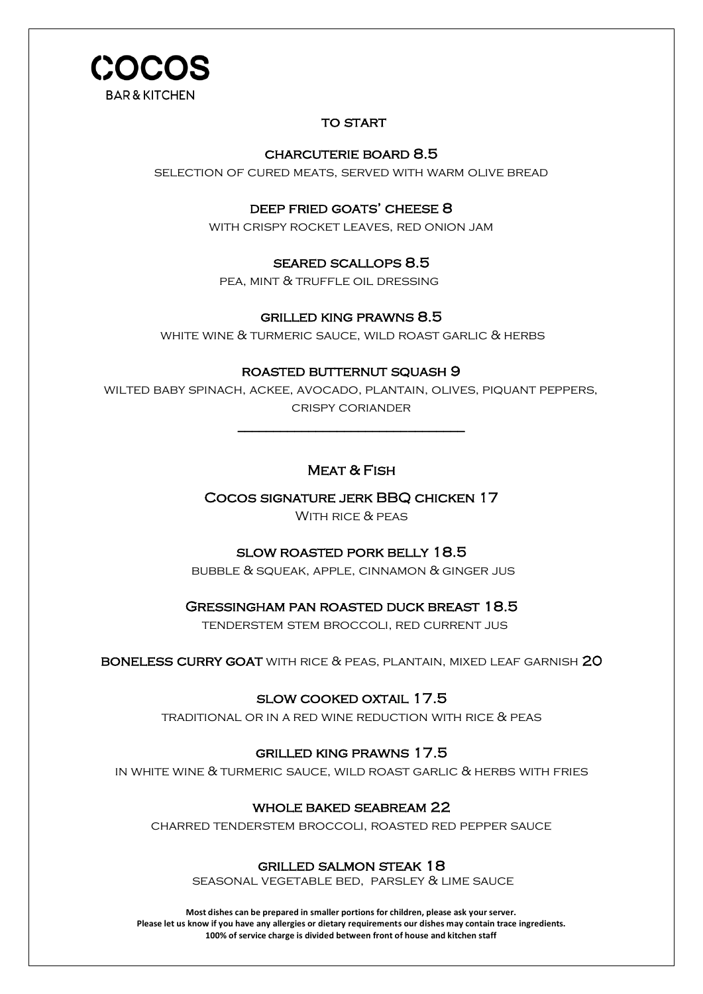

## **TO START**

# charcuterie board 8.5 *k*

selection of cured meats, served with warm olive bread

## deep fried goats' cheese 8

with crispy rocket leaves, red onion jam

## seared scallops 8.5

pea, mint & truffle oil dressing

## grilled king prawns 8.5

white wine & turmeric sauce, wild roast garlic & herbs

## roasted butternut squash 9

wilted baby spinach, ackee, avocado, plantain, olives, piquant peppers, crispy coriander

#### $\overline{\phantom{a}}$ Ì Meat & Fish

Cocos signature jerk BBQ chicken 17

With rice & peas

# SLOW ROASTED PORK BELLY 18.5

 $BUBBLE \& \; SQLAK, APPLE, CINNAMON \& \; GINGER \; JUS$ 

## Gressingham pan roasted duck breast 18.5

tenderstem stem broccoli, red current jus

boneless curry goat with rice & peas, plantain, mixed leaf garnish 20

## slow cooked oxtail 17.5

traditional or in a red wine reduction with rice & peas

## grilled king prawns 17.5

in white wine & turmeric sauce, wild roast garlic & herbs with fries

## whole baked seabream 22

charred tenderstem broccoli, roasted red pepper sauce

## grilled salmon steak 18

seasonal vegetable bed, parsley & lime sauce j

**Most dishes can be prepared in smaller portions for children, please ask your server. Please let us know if you have any allergies or dietary requirements our dishes may contain trace ingredients. 100% of service charge is divided between front of house and kitchen staff**